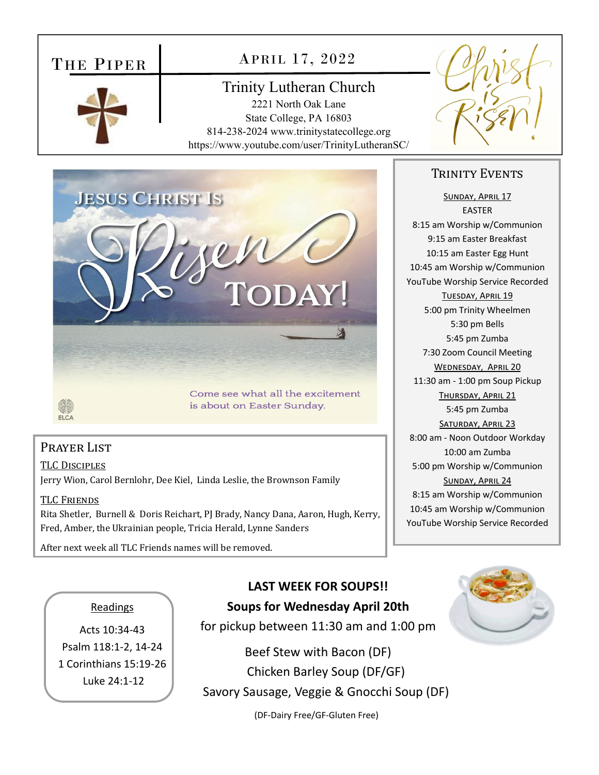# THE PIPER

## APRIL 17, 2022

## Trinity Lutheran Church 2221 North Oak Lane

 State College, PA 16803 814-238-2024 www.trinitystatecollege.org https://www.youtube.com/user/TrinityLutheranSC/





is about on Easter Sunday.

## PRAYER LIST

TLC DISCIPLES Jerry Wion, Carol Bernlohr, Dee Kiel, Linda Leslie, the Brownson Family

#### TLC FRIENDS

Rita Shetler, Burnell & Doris Reichart, PJ Brady, Nancy Dana, Aaron, Hugh, Kerry, Fred, Amber, the Ukrainian people, Tricia Herald, Lynne Sanders

After next week all TLC Friends names will be removed.

Readings

Acts 10:34‐43 Psalm 118:1‐2, 14‐24 1 Corinthians 15:19‐26 Luke 24:1‐12

# **LAST WEEK FOR SOUPS!!**

## **Soups for Wednesday April 20th**

for pickup between 11:30 am and 1:00 pm

Beef Stew with Bacon (DF) Chicken Barley Soup (DF/GF) Savory Sausage, Veggie & Gnocchi Soup (DF)

(DF‐Dairy Free/GF‐Gluten Free)



## TRINITY EVENTS

SUNDAY, APRIL 17 **FASTER** 8:15 am Worship w/Communion 9:15 am Easter Breakfast 10:15 am Easter Egg Hunt 10:45 am Worship w/Communion YouTube Worship Service Recorded TUESDAY, APRIL 19 5:00 pm Trinity Wheelmen 5:30 pm Bells 5:45 pm Zumba 7:30 Zoom Council Meeting WEDNESDAY, APRIL 20 11:30 am ‐ 1:00 pm Soup Pickup THURSDAY, APRIL 21 5:45 pm Zumba SATURDAY, APRIL 23 8:00 am ‐ Noon Outdoor Workday 10:00 am Zumba 5:00 pm Worship w/Communion SUNDAY, APRIL 24 8:15 am Worship w/Communion 10:45 am Worship w/Communion YouTube Worship Service Recorded

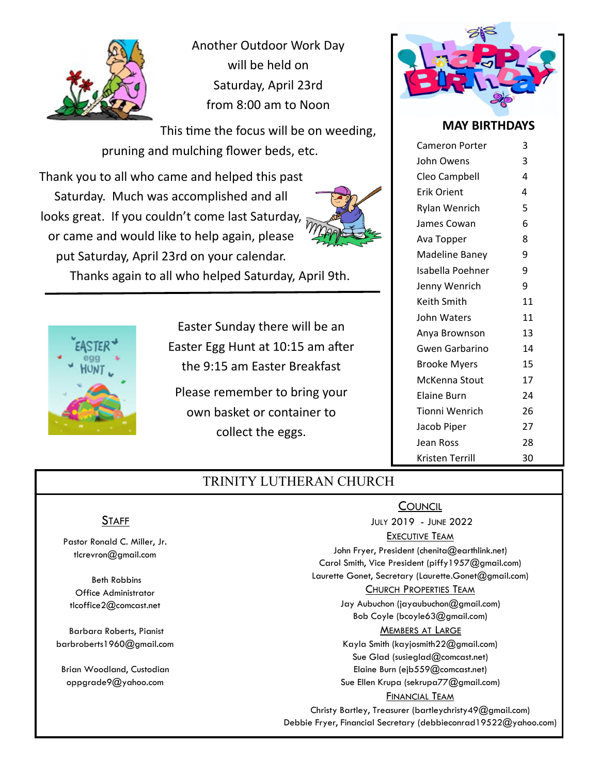

Another Outdoor Work Day will be held on Saturday, April 23rd from 8:00 am to Noon

This time the focus will be on weeding, pruning and mulching flower beds, etc.

Thank you to all who came and helped this past Saturday. Much was accomplished and all looks great. If you couldn't come last Saturday, or came and would like to help again, please put Saturday, April 23rd on your calendar.



Thanks again to all who helped Saturday, April 9th.



Easter Sunday there will be an Easter Egg Hunt at 10:15 am after the 9:15 am Easter Breakfast

Please remember to bring your own basket or container to collect the eggs.



#### **MAY BIRTHDAYS**

| Cameron Porter       | 3  |
|----------------------|----|
| John Owens           | 3  |
| Cleo Campbell        | 4  |
| <b>Erik Orient</b>   | 4  |
| <b>Rylan Wenrich</b> | 5  |
| James Cowan          | 6  |
| Ava Topper           | 8  |
| Madeline Baney       | 9  |
| Isabella Poehner     | 9  |
| Jenny Wenrich        | 9  |
| Keith Smith          | 11 |
| John Waters          | 11 |
| Anya Brownson        | 13 |
| Gwen Garbarino       | 14 |
| <b>Brooke Myers</b>  | 15 |
| McKenna Stout        | 17 |
| <b>Elaine Burn</b>   | 24 |
| Tionni Wenrich       | 26 |
| Jacob Piper          | 27 |
| Jean Ross            | 28 |
| Kristen Terrill      | 30 |

## TRINITY LUTHERAN CHURCH

### <u>Staff</u>

Pastor Ronald C. Miller, Jr. tlcrevron@gmail.com

 Beth Robbins Office Administrator tlcoffice2@comcast.net

 Barbara Roberts, Pianist barbroberts1960@gmail.com

Brian Woodland, Custodian oppgrade9@yahoo.com

## **COUNCIL**

JULY 2019 - JUNE 2022

#### EXECUTIVE TEAM

John Fryer, President (chenita@earthlink.net) Carol Smith, Vice President (piffy1957@gmail.com) Laurette Gonet, Secretary (Laurette.Gonet@gmail.com)

#### CHURCH PROPERTIES TEAM

Jay Aubuchon (jayaubuchon@gmail.com) Bob Coyle (bcoyle63@gmail.com)

#### MEMBERS AT LARGE

Kayla Smith (kayjosmith22@gmail.com) Sue Glad (susieglad@comcast.net) Elaine Burn (ejb559@comcast.net) Sue Ellen Krupa (sekrupa77@gmail.com)

#### FINANCIAL TEAM

Christy Bartley, Treasurer (bartleychristy49@gmail.com) Debbie Fryer, Financial Secretary (debbieconrad19522@yahoo.com)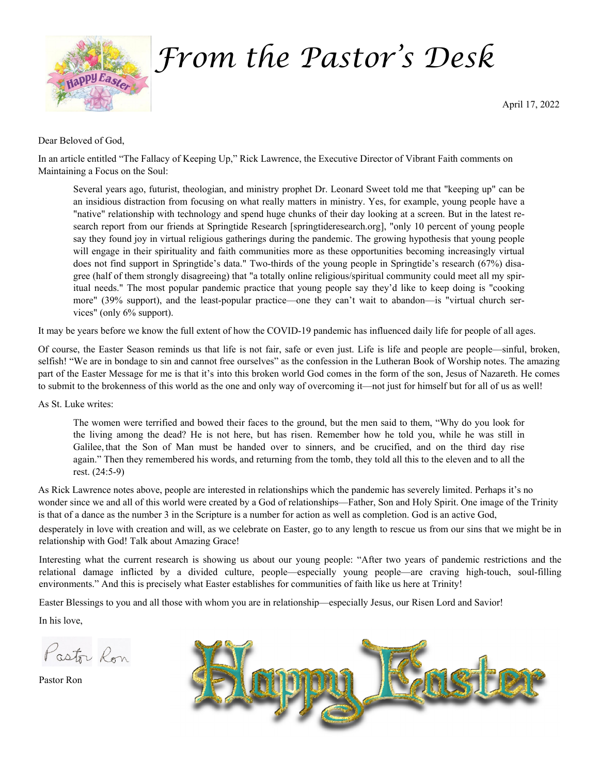

# *From the Pastor's Desk*

April 17, 2022

#### Dear Beloved of God,

In an article entitled "The Fallacy of Keeping Up," Rick Lawrence, the Executive Director of Vibrant Faith comments on Maintaining a Focus on the Soul:

Several years ago, futurist, theologian, and ministry prophet Dr. Leonard Sweet told me that "keeping up" can be an insidious distraction from focusing on what really matters in ministry. Yes, for example, young people have a "native" relationship with technology and spend huge chunks of their day looking at a screen. But in the latest research report from our friends at Springtide Research [springtideresearch.org], "only 10 percent of young people say they found joy in virtual religious gatherings during the pandemic. The growing hypothesis that young people will engage in their spirituality and faith communities more as these opportunities becoming increasingly virtual does not find support in Springtide's data." Two-thirds of the young people in Springtide's research (67%) disagree (half of them strongly disagreeing) that "a totally online religious/spiritual community could meet all my spiritual needs." The most popular pandemic practice that young people say they'd like to keep doing is "cooking more" (39% support), and the least-popular practice—one they can't wait to abandon—is "virtual church services" (only 6% support).

It may be years before we know the full extent of how the COVID-19 pandemic has influenced daily life for people of all ages.

Of course, the Easter Season reminds us that life is not fair, safe or even just. Life is life and people are people—sinful, broken, selfish! "We are in bondage to sin and cannot free ourselves" as the confession in the Lutheran Book of Worship notes. The amazing part of the Easter Message for me is that it's into this broken world God comes in the form of the son, Jesus of Nazareth. He comes to submit to the brokenness of this world as the one and only way of overcoming it—not just for himself but for all of us as well!

As St. Luke writes:

The women were terrified and bowed their faces to the ground, but the men said to them, "Why do you look for the living among the dead? He is not here, but has risen. Remember how he told you, while he was still in Galilee, that the Son of Man must be handed over to sinners, and be crucified, and on the third day rise again." Then they remembered his words, and returning from the tomb, they told all this to the eleven and to all the rest. (24:5-9)

As Rick Lawrence notes above, people are interested in relationships which the pandemic has severely limited. Perhaps it's no wonder since we and all of this world were created by a God of relationships—Father, Son and Holy Spirit. One image of the Trinity is that of a dance as the number 3 in the Scripture is a number for action as well as completion. God is an active God, desperately in love with creation and will, as we celebrate on Easter, go to any length to rescue us from our sins that we might be in relationship with God! Talk about Amazing Grace!

Interesting what the current research is showing us about our young people: "After two years of pandemic restrictions and the relational damage inflicted by a divided culture, people—especially young people—are craving high-touch, soul-filling environments." And this is precisely what Easter establishes for communities of faith like us here at Trinity!

Easter Blessings to you and all those with whom you are in relationship—especially Jesus, our Risen Lord and Savior!

In his love,

Pastor Ron

Pastor Ron

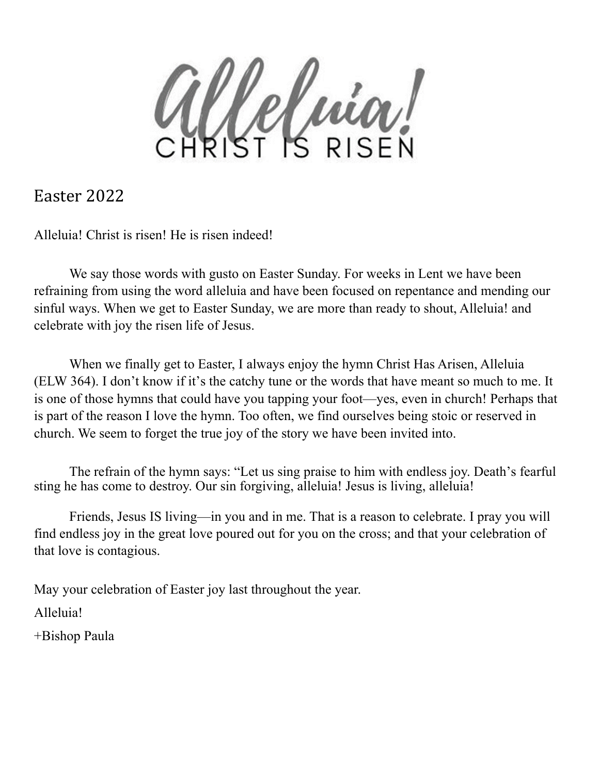Welliam!

Easter 2022

Alleluia! Christ is risen! He is risen indeed!

 We say those words with gusto on Easter Sunday. For weeks in Lent we have been refraining from using the word alleluia and have been focused on repentance and mending our sinful ways. When we get to Easter Sunday, we are more than ready to shout, Alleluia! and celebrate with joy the risen life of Jesus.

 When we finally get to Easter, I always enjoy the hymn Christ Has Arisen, Alleluia (ELW 364). I don't know if it's the catchy tune or the words that have meant so much to me. It is one of those hymns that could have you tapping your foot—yes, even in church! Perhaps that is part of the reason I love the hymn. Too often, we find ourselves being stoic or reserved in church. We seem to forget the true joy of the story we have been invited into.

 The refrain of the hymn says: "Let us sing praise to him with endless joy. Death's fearful sting he has come to destroy. Our sin forgiving, alleluia! Jesus is living, alleluia!

 Friends, Jesus IS living—in you and in me. That is a reason to celebrate. I pray you will find endless joy in the great love poured out for you on the cross; and that your celebration of that love is contagious.

May your celebration of Easter joy last throughout the year.

Alleluia!

+Bishop Paula